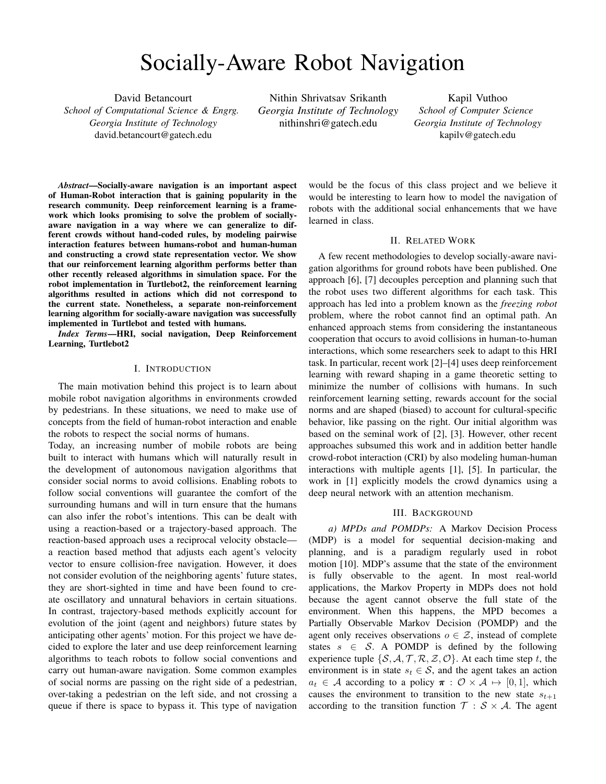# Socially-Aware Robot Navigation

David Betancourt *School of Computational Science & Engrg. Georgia Institute of Technology* david.betancourt@gatech.edu

Nithin Shrivatsav Srikanth *Georgia Institute of Technology* nithinshri@gatech.edu

Kapil Vuthoo *School of Computer Science Georgia Institute of Technology* kapilv@gatech.edu

*Abstract*—Socially-aware navigation is an important aspect of Human-Robot interaction that is gaining popularity in the research community. Deep reinforcement learning is a framework which looks promising to solve the problem of sociallyaware navigation in a way where we can generalize to different crowds without hand-coded rules, by modeling pairwise interaction features between humans-robot and human-human and constructing a crowd state representation vector. We show that our reinforcement learning algorithm performs better than other recently released algorithms in simulation space. For the robot implementation in Turtlebot2, the reinforcement learning algorithms resulted in actions which did not correspond to the current state. Nonetheless, a separate non-reinforcement learning algorithm for socially-aware navigation was successfully implemented in Turtlebot and tested with humans.

*Index Terms*—HRI, social navigation, Deep Reinforcement Learning, Turtlebot2

# I. INTRODUCTION

The main motivation behind this project is to learn about mobile robot navigation algorithms in environments crowded by pedestrians. In these situations, we need to make use of concepts from the field of human-robot interaction and enable the robots to respect the social norms of humans.

Today, an increasing number of mobile robots are being built to interact with humans which will naturally result in the development of autonomous navigation algorithms that consider social norms to avoid collisions. Enabling robots to follow social conventions will guarantee the comfort of the surrounding humans and will in turn ensure that the humans can also infer the robot's intentions. This can be dealt with using a reaction-based or a trajectory-based approach. The reaction-based approach uses a reciprocal velocity obstacle a reaction based method that adjusts each agent's velocity vector to ensure collision-free navigation. However, it does not consider evolution of the neighboring agents' future states, they are short-sighted in time and have been found to create oscillatory and unnatural behaviors in certain situations. In contrast, trajectory-based methods explicitly account for evolution of the joint (agent and neighbors) future states by anticipating other agents' motion. For this project we have decided to explore the later and use deep reinforcement learning algorithms to teach robots to follow social conventions and carry out human-aware navigation. Some common examples of social norms are passing on the right side of a pedestrian, over-taking a pedestrian on the left side, and not crossing a queue if there is space to bypass it. This type of navigation would be the focus of this class project and we believe it would be interesting to learn how to model the navigation of robots with the additional social enhancements that we have learned in class.

## II. RELATED WORK

A few recent methodologies to develop socially-aware navigation algorithms for ground robots have been published. One approach [6], [7] decouples perception and planning such that the robot uses two different algorithms for each task. This approach has led into a problem known as the *freezing robot* problem, where the robot cannot find an optimal path. An enhanced approach stems from considering the instantaneous cooperation that occurs to avoid collisions in human-to-human interactions, which some researchers seek to adapt to this HRI task. In particular, recent work [2]–[4] uses deep reinforcement learning with reward shaping in a game theoretic setting to minimize the number of collisions with humans. In such reinforcement learning setting, rewards account for the social norms and are shaped (biased) to account for cultural-specific behavior, like passing on the right. Our initial algorithm was based on the seminal work of [2], [3]. However, other recent approaches subsumed this work and in addition better handle crowd-robot interaction (CRI) by also modeling human-human interactions with multiple agents [1], [5]. In particular, the work in [1] explicitly models the crowd dynamics using a deep neural network with an attention mechanism.

## III. BACKGROUND

*a) MPDs and POMDPs:* A Markov Decision Process (MDP) is a model for sequential decision-making and planning, and is a paradigm regularly used in robot motion [10]. MDP's assume that the state of the environment is fully observable to the agent. In most real-world applications, the Markov Property in MDPs does not hold because the agent cannot observe the full state of the environment. When this happens, the MPD becomes a Partially Observable Markov Decision (POMDP) and the agent only receives observations  $o \in \mathcal{Z}$ , instead of complete states  $s \in S$ . A POMDP is defined by the following experience tuple  $\{S, A, T, R, Z, O\}$ . At each time step t, the environment is in state  $s_t \in S$ , and the agent takes an action  $a_t \in \mathcal{A}$  according to a policy  $\pi : \mathcal{O} \times \mathcal{A} \mapsto [0, 1]$ , which causes the environment to transition to the new state  $s_{t+1}$ according to the transition function  $T : S \times A$ . The agent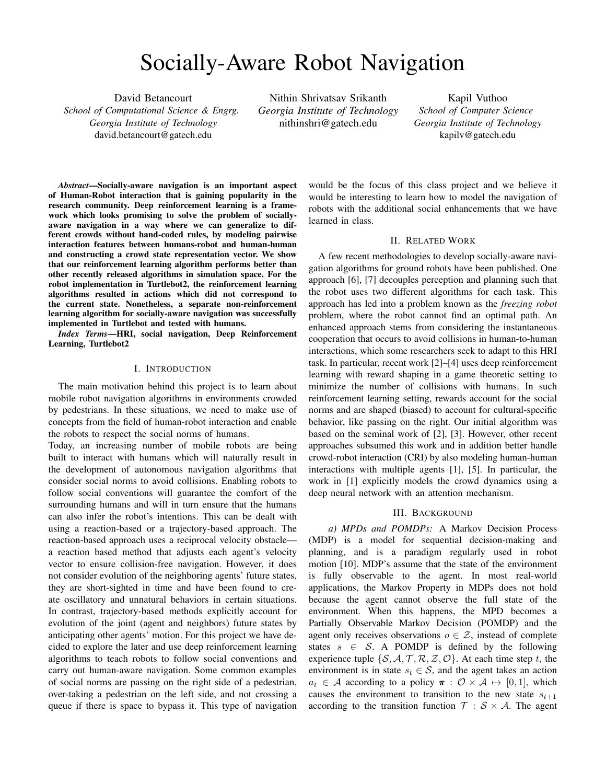then receives an observation  $o_t \in \mathcal{Z}$ , which depends on the new state of the environment with probability  $\mathcal{O}(o_t|s_{t+1}, a_t)$ . The agent then receives rewards according to its actions and the state  $r : \mathcal{S} \times \mathcal{A} \mapsto \Re$ . In MDPs and POMDPs, the goal of the agent is to maximize the expected future cumulative discounted rewards  $\mathcal{R} = \mathbb{E}$  $\int_{t=0}^{T} r^t \gamma^t$ , where  $\gamma$  is the discount factor.

*b) Value Iteration Networks:* The value of a state s following a policy  $\pi$  is  $V^{\pi}(s) = \mathbb{E}_a \pi \left[\begin{array}{cc} 1 \\ t=0 \end{array} r(s,a) \gamma \right]$ . The optimal value function  $V(s)$  is the maximal expected return from a state s, which equals  $\max_{\pi} V^{\pi}(s)$ . A policy is optimal  $(\pi)$  if  $V^{\pi^*}(s) = V(s)$ . Value Iteration is an algorithm which allows to calculate  $V(s)$  and  $\pi$ . In a value iteration network, the value function is evaluated by a deep neural network.

*c) Prioritized Experience Replay:* Prioritized experience replay (PER) developed in [9], uses the Temporal-Difference (TD) error and importance sampling to prioritize the order in which experiences are replayed by the RL agent. The work in [9] outperformed previous deep RL implementations, with uniform experience replay, in almost all the games in the Atari benchmark.

#### IV. METHODOLOGY

#### *A. Main Algorithm*

We adopted the algorithm of [1] and enhanced it by modifying the way that the RL agent samples past experiences. The algorithm consists of using value iteration initialized with demonstrations. The algorithm, SARL, seeks to model the relative importance of humans and encode the collective impact of the crowd. The multi-agent framework of SARL is composed of three modules, as follows:

*a) Interaction Module:* This module embeds the motion information of each of the agents (humans and robot) with respect to their neighbors. This is achieved by constructing a neighborhood map of size  $L \times L \times 3$  around each human i, which encodes the velocities of existing neighbors, as

$$
M_i(\alpha, \beta) = \frac{\times}{j2Q_i} \mathbb{1}[(\Delta x, \Delta y) = (\alpha, \beta)]s_j^h \tag{1}
$$

Where  $(\alpha, \beta)$  are the cell's coordinates;  $(\Delta x, \Delta y)$  are the difference in planar coordinates between humans i and j;  $Q_i$ is the set of neighboring humans around the  $i^{th}$  human;  $s_j^h$ is the local state vector for human j; and  $\mathbb{1}[\cdot]$  is the indicator function.

For each human *i* the state is a 7-tuple, defined as  $s_i^{h,(t)}$  =  $[p_x, p_y, v_x, v_y, r_i, d_i, r_i + r]^{(t)}$ , where p are positions, v are velocities,  $r$  are radii, and  $d$  separation distance at time t. For the robot, the state is a 5-tuple, defined as  $s^{(t)}$  =  $[d_g, v_{pref}, v_x, v_y, r]^{(t)}$ ; where  $d_g$  is distance to goal,  $v_{pref}$ is preferred velocity,  $v$  are velocities, and  $r$  is the radius at time  $r$ . The embedding of the state of the robot  $s$ , the states

of humans  $s_i^h$ , and neighborhoods maps  $M_i$ , into a highdimensional tensor  $e_i$  is achieved with a neural network  $\Phi_e$ parameterized by  $\Theta_e$ , as

$$
e_i = \Phi_e(s, s_i^h, M_i; \Theta_e)
$$
 (2)

Finally, the embedding vector  $e_i$  is then trained end-to-end with a deep neural network  $\Psi_h$  parameterized by  $\Theta_h$  giving the pair-wise interaction  $h_i$  between the robot and human i, as

$$
h_i = \Psi_h(e_i; \Theta_h) \tag{3}
$$

*b) Pooling Module:* In order to handle crowds of varying sizes, the pooling module allows the network to process an arbitrary number of inputs into a fixed-sized output action space. To this end, SARL uses an attention mechanism in order to learn the relative importance of each neighbor, as well as the collective force of the crowd. The attention score is achieved through hidden layers with ReLu activations  $\Psi_{\alpha}$ , parameterized by  $\Theta_{\alpha}$ , as follows

$$
\alpha_i = \Psi_\alpha(e_i, e_m; \Theta_\alpha) \tag{4}
$$

Where  $e_i$  is defined in Eq. 2 and  $e_m = \frac{1}{n} \int_{k=1}^{n} e_k$ . Then, the final representation of the crowd is given by  $c$ , as

$$
c = \sum_{i=1}^{\infty} \text{softmax}(\alpha_i) h_i \tag{5}
$$

Where  $h_i$  is defined in Eq. 3.



Fig. 1. Pooling Module Architecture from [1].

*c) Planning Module:* Using the compact representation of the crowd  $c$ , the planning module estimates the state value V for cooperative planning, parameterized by  $\Theta_V$ , as

$$
V = f_V(s, c; \Theta_V) \tag{6}
$$

*1) Model Details:* The hidden units of the network functions are as follows:  $\Phi_e = (150, 100); \Psi_h = (100, 50); \Psi_\alpha =$  $(100, 100); f_V = (150, 100, 100).$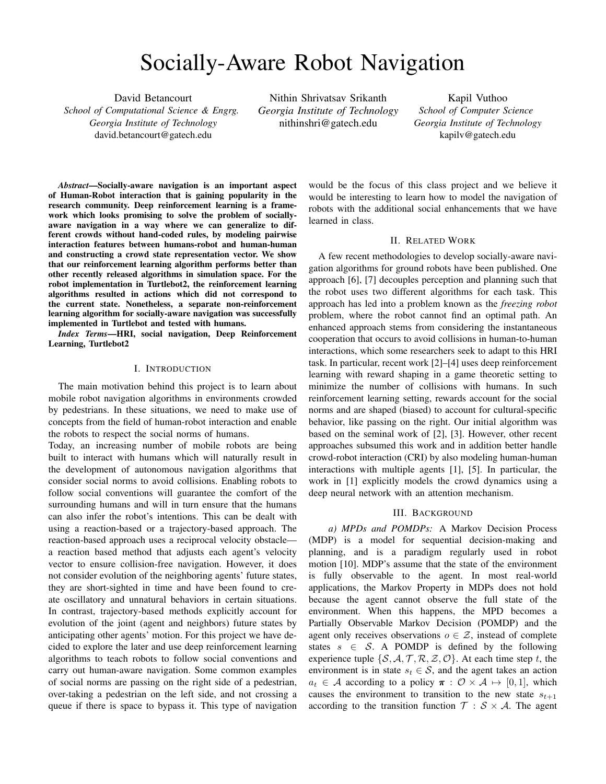*2) Reward Function:* The reward function is defined as follows:

$$
R_t(s_t^{joint}, a_t) = \begin{cases} \n\text{S} - 0.25 & \text{if } d_t < 0 \\
\text{S} - 0.1 + d_t/2 & \text{elif } d_t < 0.2 \\
\text{S1} & \text{elif } p_t = p_g \\
0 & \text{otherwise.}\n\end{cases}
$$

Where  $d_t$  is the minimum separation distance between the robot and the crowd during each time interval.

*3) Training Details:* We implemented prioritized experience replay (PER) [9] as an algorithmic enhancement for [1] and also implemented reward shaping as in [3]. Adding PER reduces the training time significantly and we noticed that surprisingly none of the algorithms in the literature used PER, but rather only sampled uniformly from the experience buffer. Additionally, PER helps to infer the POMDP hidden states in our setting—the intentions of humans. The model is trained in PyTorch using Adam with a mini-batch size of 32. The learning rate for imitation learning is 0.01 and 0.001 for RL. The action space contains 80 actions (5 speeds exponentially spaced between  $(0,v_{pref} ]$  and 16 headings evenly spaced between  $[0,2\pi)$ .

### *B. Secondary Algorithm*

We also implemented and tested the algorithm of [8] and successfully implemented it on TurtleBot2. The algorithm is a planning-based approach to address the problem of sociallyaware navigation. It proceeds by making use of a layered social cost function to generate collision-free paths. Some of the social norms hard-coded in the robot are avoiding the personal space of humans, waiting for a human to pass and moving out of the way when blocking a human's path. The algorithm involves the use of time-dependent, search-based path planning with dynamic, social cost maps containing costs based on predicted human trajectories and Gaussian social cost model. One of the main reasons for choosing this algorithm as an alternative is its ability to consider motion of humans over time. We tested this algorithm on Turtlebot in a narrow and cluttered environment. The navigation framework consists of the following modules.

*a) Search Graph:* To generate robot trajectories that are feasible and take into account the robot's inertial constraints, the state space is modeled in the following way:

$$
C = (x, y, \phi, v, \omega, t)
$$

—this corresponds to the unicycle model of the robot. Then, a discrete time model with a constant sampling time  $(\Delta t)$ and a finite set of directly executable actions  $u_i$  is used to build the Search Graph. The action set is as follows:  $U = \{(e_x a_x, e_{\phi} a_{\phi}) | e_x, e_{\phi} \in \{-1, 0, 1\}\}\.$  The actions are a combination of forward and angular accelerations resulting in motions which can have constant acceleration, constant deceleration or zero acceleration. This set of state space and actions ensures the generation of feasible motions through the use of a feasibility tree.

*b) Social Cost Model:* The social space preference of humans can be modeled using either potential functions or social costs and this approach makes use of a Gaussian cost model with an amplitude A and  $\sigma_x, \sigma_y$  along the person's front and side directions. To induce the social norm of moving the robot on the right side of the human and preventing it from moving in the sensitive area in front of the person, the Gaussian distribution is perturbed from the person's geometric center by a small value. In addition, to respect the proxemics of the person, a non-traversable area of radius  $r_0$ is created around the person.

*c) Dynamic Cost Map:* A layered dynamic cost map encodes the static environment constraints with the dynamic social constraints where each layer represents one snapshot of the predicted human-trajectory from time-step i to  $i + 1$ . The cost map has a single static layer and multiple dynamic layers with each layer being a two-dimensional grid that represents the navigation constraints of the robot.

*d) Optimization:* The parameters being optimized in the A search algorithm are path execution time, path length, static environment constraints and social constraints with each parameter being represented by a cost  $c_i$ . Each of these costs are described below:

Path execution time is proportional to the required timesteps to reach goal.

The path length cost function is a function of the linear and diagonal transitions associated with a planned path in the cost map grid.

The static environment and social constraints cost function is obtained from the dynamic cost map according to the grid cell that the path traverses.

The Cost Function is as follows:

$$
C = \Sigma w_i.c_i \tag{7}
$$

*e)* A *Heuristic:* This paragraph describes the robot's behavior when no people are around. To generate the shortest path of the robot a planar eight-connected Dijkstra expansion is imposed on the static layer of dynamic cost map.

*f) Planning Timeout:* To ensure that the planning frequency is constant the time allocated for planning is restricted. Once the maximum planning time is reached, the algorithm returns the path to the best expanded state which can be the goal state in an ideal scenario. If the goal was not reached, the algorithm returns the lowest cost path that reached the goal at any orientation and velocity or expand the path to the state that would be expanded next.

*1) Model Details:* The local map for TurtleBot2 is generated using Simultaneous Localization and Mapping technique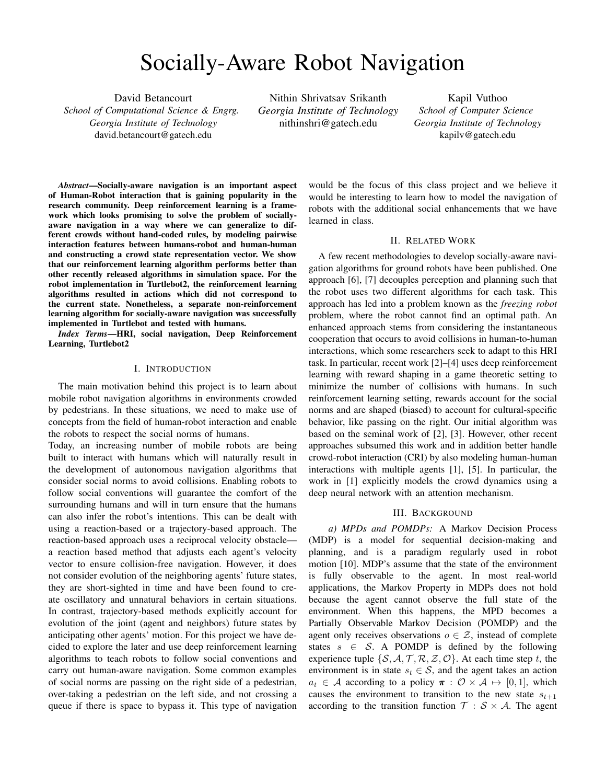by leveraging the gmapping package of Robot Operating System(ROS). The GMapping algorithm makes use of Rao-Blackwellized particle filters to learn grid maps and localize the robot.

### *C. TurtleBot Implementation*

We started with programming the turtlebot for normal navigation using all the sensors and built in utilities in ROS like navstack and rviz for local and the global planner. To prepare the turtlebot for addition of deep learning algorithms, we integrated the object detection for collision avoidance and subsequently added people detection. Further, the CADRL and SARL algorithms were trained and the trained model put on the tutlebot.

As discussed in the above sections a non-communicating multiagent collision avoidance problem can be formulated as a partially-observable sequential decision making problem. In this implementation the agent's state vector is a combination of two parts:  $s_t = [s_t^o; s_t^h]$  where  $s_t^o$  denotes the observable part that can be measured by all other agents, and  $s_t^h$  denotes the hidden part that is only known to the agent itself. Each part of the state vector is a further combination of  $p$  position,  $v$  - velocity,  $r$  - radius and  $h_a$  - heading angle.  $s^{o} = [p_{x}, p_{y}, v_{x}, v_{y}, r] \, s^{h} = [p_{gx}, p_{gy}, v_{pref}, h_{a}]$ 

We took the origin as the start point of the robot in the map and then by subscribing to Odometry we got the position coordinates to this origin in 2D. Own velocity was being published to cmd vel, therefore known and for the moving people (Agents) the position and velocity is calculated from the lidar data. Further, the heading was also taken from Odom data. Because of the mismatch of the training data and the expected data, the inference engine was not generating proper velocity commands. We tweeked and tried many combinations of the state vectors and the paper [1] is also silent about physical implementation as against using the gym environment.

*a) Implementation Details:* Throughout the entire project ROS was a very important ingredient. ROS stands for Robot Operating System and is a meta operating system for writing modular robot software. The modularity and powerful communication capabilities of ROS allowed us to create such a complex task in a simple manner.

The TurtleBot2 was abstracted as a unicycle model to pass the motion commands for navigation. The TurtleBot2 is equipped with ASUS Xtion Pro sensor which is an RGB-D sensor but is used as a Lidar for our application. This sensor is based in primesense infra-red technology. The sensor outputs data in the form of a laserscan which is a linear vector of ranges from the robot to the nearest obstacle in various directions. A ROS node extracts the middle few rows of the Asus Xtion Pro's depth image and filters the output to generate data similar to the data from a Lidar.

The TurtleBot2 is built on a Kobuki mobile base which works on differential drive mechanism. The base has sensors such as wheel encoders and gyroscope, actuators for movement and a power source. The sensors of the robot are used in generating the odometry information of the robot such as its pose. To operate it a Netbook with ROS capabilities is needed and we have used the ASUS Netbook of TurtleBot2 and this laptop is configured as a ROS MASTER URI.

The codes were first tested on simulation using Gazebo and then the codes were ported to hardware. Results of both the simulation and hardware are attached in the Results section.

The lattice planner ROS package is used as the timedependent global planner and timed path follower ROS package is used for local planning. The lattice planner generates a path based on  $A$  search algorithm for robots with differential drive constraints. It directly uses the dynamic cost map for planning the paths of the robot. The timed path follower provides a trajectory tracking controller in the ROS Navigation Stack.

To test the behavior of the robot around humans, a fake detection node is executed in ROS. The navigations goals of the robot are set in RViz and the robot smoothly navigates to the desired goal while avoiding humans and following social constraints.

## V. RESULTS

# *A. Comparison of Algorithms*

Table 1 shows the comparisons of the main reinforcement learning algorithm implemented (SARL) vs two other recent approaches (CADRL [2] and LSTM-RL [4]) during testing. For all approaches, the algorithms were trained using prioritized experienced replay, which significantly reduced the training time (from 20k episodes to 4k episodes). SARL-PER had the lowest collision rate, while CADRL-PER was faster. The LSTM-RL-PER algorithm did not perform well, perhaps, it needed more training episodes but we wanted to do a comparison with similar training times. Fig. 3 shows the navigation time and the rewards per episode of training, we see that CADRL-PER and SARL-PER are very similar during training, while LSTM-RL is not converging.

TABLE I COMPARISON OF RL ALGORITHMS

| <b>Algorithm</b> | <b>Collision Rate</b> | <b>Success Rate</b> | Time to Goal (sec) |
|------------------|-----------------------|---------------------|--------------------|
| <b>SARL-PER</b>  | 0.018                 | 0.99                | 11.23              |
| <b>CADRL-PER</b> | 0.054                 | 0.99                | 10.78              |
| LSTM-RL-PER      | 0.63                  | 0.58                | 22.94              |

# *B. TurtleBot2 Implementation Results*

The RViz visualizations for the TurtleBot navigation in an environment with humans is depicted in the pictures below. As seen from the pictures, the navigation of the TurtleBot is smooth due to the even switching between the various navigation behaviors represented by the layered cost map. The re-planning of path takes place when the planned path conflicts with human motion. The red cylinder around the human is a restricted radius which the robot will never get close to. The blue layer around the human represents the Gaussian distribution with an offset to represent a region of high potential.